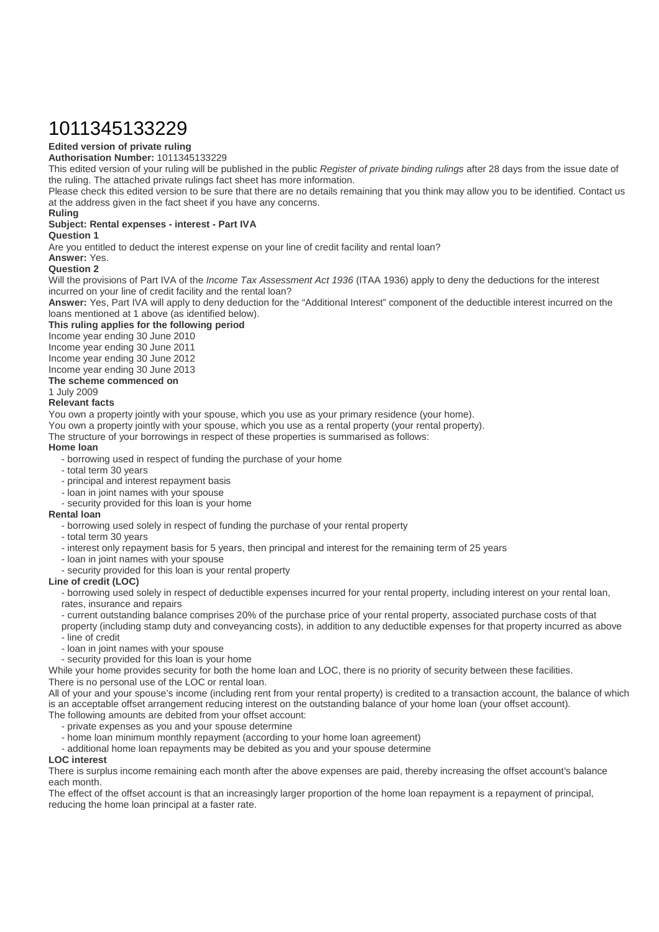# 1011345133229

### **Edited version of private ruling**

### **Authorisation Number:** 1011345133229

This edited version of your ruling will be published in the public Register of private binding rulings after 28 days from the issue date of the ruling. The attached private rulings fact sheet has more information.

Please check this edited version to be sure that there are no details remaining that you think may allow you to be identified. Contact us at the address given in the fact sheet if you have any concerns.

### **Ruling**

### **Subject: Rental expenses - interest - Part IVA**

### **Question 1**

Are you entitled to deduct the interest expense on your line of credit facility and rental loan?

### **Answer:** Yes.

### **Question 2**

Will the provisions of Part IVA of the *Income Tax Assessment Act 1936* (ITAA 1936) apply to deny the deductions for the interest incurred on your line of credit facility and the rental loan?

**Answer:** Yes, Part IVA will apply to deny deduction for the "Additional Interest" component of the deductible interest incurred on the loans mentioned at 1 above (as identified below).

### **This ruling applies for the following period**

Income year ending 30 June 2010

Income year ending 30 June 2011

Income year ending 30 June 2012

Income year ending 30 June 2013

### **The scheme commenced on**

# 1 July 2009

### **Relevant facts**

You own a property jointly with your spouse, which you use as your primary residence (your home).

You own a property jointly with your spouse, which you use as a rental property (your rental property).

The structure of your borrowings in respect of these properties is summarised as follows:

### **Home loan**

- borrowing used in respect of funding the purchase of your home
- total term 30 years
- principal and interest repayment basis
- loan in joint names with your spouse
- security provided for this loan is your home

### **Rental loan**

- borrowing used solely in respect of funding the purchase of your rental property
- total term 30 years
- interest only repayment basis for 5 years, then principal and interest for the remaining term of 25 years
- loan in joint names with your spouse
- security provided for this loan is your rental property

### **Line of credit (LOC)**

- borrowing used solely in respect of deductible expenses incurred for your rental property, including interest on your rental loan, rates, insurance and repairs

- current outstanding balance comprises 20% of the purchase price of your rental property, associated purchase costs of that

property (including stamp duty and conveyancing costs), in addition to any deductible expenses for that property incurred as above - line of credit

- 
- loan in joint names with your spouse - security provided for this loan is your home

While your home provides security for both the home loan and LOC, there is no priority of security between these facilities. There is no personal use of the LOC or rental loan.

All of your and your spouse's income (including rent from your rental property) is credited to a transaction account, the balance of which is an acceptable offset arrangement reducing interest on the outstanding balance of your home loan (your offset account). The following amounts are debited from your offset account:

- private expenses as you and your spouse determine
- home loan minimum monthly repayment (according to your home loan agreement)
- additional home loan repayments may be debited as you and your spouse determine

#### **LOC interest**

There is surplus income remaining each month after the above expenses are paid, thereby increasing the offset account's balance each month.

The effect of the offset account is that an increasingly larger proportion of the home loan repayment is a repayment of principal, reducing the home loan principal at a faster rate.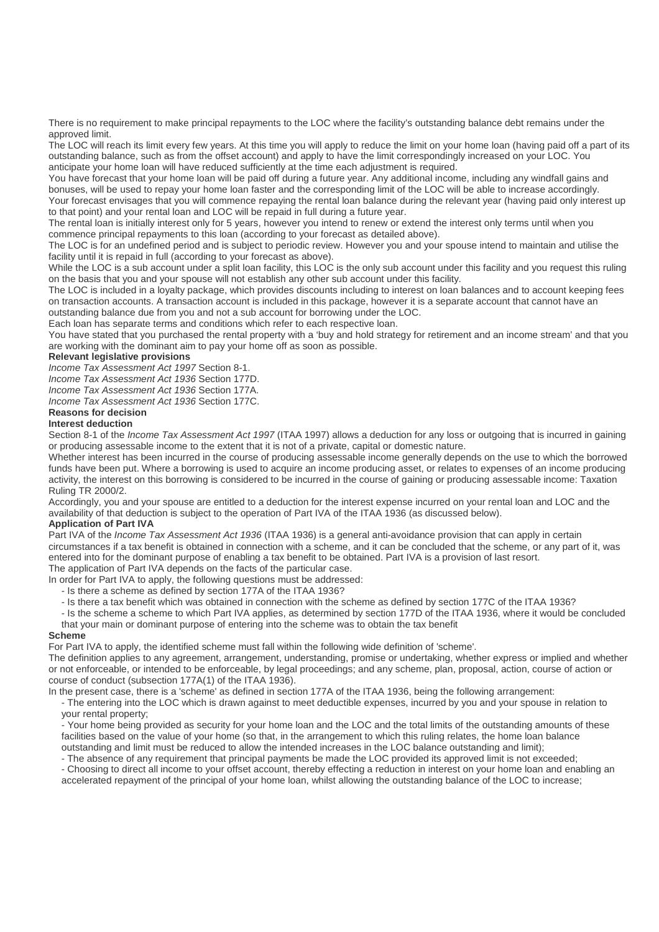There is no requirement to make principal repayments to the LOC where the facility's outstanding balance debt remains under the approved limit.

The LOC will reach its limit every few years. At this time you will apply to reduce the limit on your home loan (having paid off a part of its outstanding balance, such as from the offset account) and apply to have the limit correspondingly increased on your LOC. You anticipate your home loan will have reduced sufficiently at the time each adjustment is required.

You have forecast that your home loan will be paid off during a future year. Any additional income, including any windfall gains and bonuses, will be used to repay your home loan faster and the corresponding limit of the LOC will be able to increase accordingly. Your forecast envisages that you will commence repaying the rental loan balance during the relevant year (having paid only interest up to that point) and your rental loan and LOC will be repaid in full during a future year.

The rental loan is initially interest only for 5 years, however you intend to renew or extend the interest only terms until when you commence principal repayments to this loan (according to your forecast as detailed above).

The LOC is for an undefined period and is subject to periodic review. However you and your spouse intend to maintain and utilise the facility until it is repaid in full (according to your forecast as above).

While the LOC is a sub account under a split loan facility, this LOC is the only sub account under this facility and you request this ruling on the basis that you and your spouse will not establish any other sub account under this facility.

The LOC is included in a loyalty package, which provides discounts including to interest on loan balances and to account keeping fees on transaction accounts. A transaction account is included in this package, however it is a separate account that cannot have an outstanding balance due from you and not a sub account for borrowing under the LOC.

Each loan has separate terms and conditions which refer to each respective loan.

You have stated that you purchased the rental property with a 'buy and hold strategy for retirement and an income stream' and that you are working with the dominant aim to pay your home off as soon as possible.

### **Relevant legislative provisions**

Income Tax Assessment Act 1997 Section 8-1.

Income Tax Assessment Act 1936 Section 177D.

Income Tax Assessment Act 1936 Section 177A.

Income Tax Assessment Act 1936 Section 177C.

## **Reasons for decision**

### **Interest deduction**

Section 8-1 of the *Income Tax Assessment Act 1997* (ITAA 1997) allows a deduction for any loss or outgoing that is incurred in gaining or producing assessable income to the extent that it is not of a private, capital or domestic nature.

Whether interest has been incurred in the course of producing assessable income generally depends on the use to which the borrowed funds have been put. Where a borrowing is used to acquire an income producing asset, or relates to expenses of an income producing activity, the interest on this borrowing is considered to be incurred in the course of gaining or producing assessable income: Taxation Ruling TR 2000/2.

Accordingly, you and your spouse are entitled to a deduction for the interest expense incurred on your rental loan and LOC and the availability of that deduction is subject to the operation of Part IVA of the ITAA 1936 (as discussed below).

### **Application of Part IVA**

Part IVA of the Income Tax Assessment Act 1936 (ITAA 1936) is a general anti-avoidance provision that can apply in certain circumstances if a tax benefit is obtained in connection with a scheme, and it can be concluded that the scheme, or any part of it, was entered into for the dominant purpose of enabling a tax benefit to be obtained. Part IVA is a provision of last resort. The application of Part IVA depends on the facts of the particular case.

In order for Part IVA to apply, the following questions must be addressed:

- Is there a scheme as defined by section 177A of the ITAA 1936?

- Is there a tax benefit which was obtained in connection with the scheme as defined by section 177C of the ITAA 1936?
- Is the scheme a scheme to which Part IVA applies, as determined by section 177D of the ITAA 1936, where it would be concluded that your main or dominant purpose of entering into the scheme was to obtain the tax benefit

### **Scheme**

For Part IVA to apply, the identified scheme must fall within the following wide definition of 'scheme'.

The definition applies to any agreement, arrangement, understanding, promise or undertaking, whether express or implied and whether or not enforceable, or intended to be enforceable, by legal proceedings; and any scheme, plan, proposal, action, course of action or course of conduct (subsection 177A(1) of the ITAA 1936).

In the present case, there is a 'scheme' as defined in section 177A of the ITAA 1936, being the following arrangement:

- The entering into the LOC which is drawn against to meet deductible expenses, incurred by you and your spouse in relation to your rental property;

- Your home being provided as security for your home loan and the LOC and the total limits of the outstanding amounts of these facilities based on the value of your home (so that, in the arrangement to which this ruling relates, the home loan balance outstanding and limit must be reduced to allow the intended increases in the LOC balance outstanding and limit);

- The absence of any requirement that principal payments be made the LOC provided its approved limit is not exceeded;

- Choosing to direct all income to your offset account, thereby effecting a reduction in interest on your home loan and enabling an accelerated repayment of the principal of your home loan, whilst allowing the outstanding balance of the LOC to increase;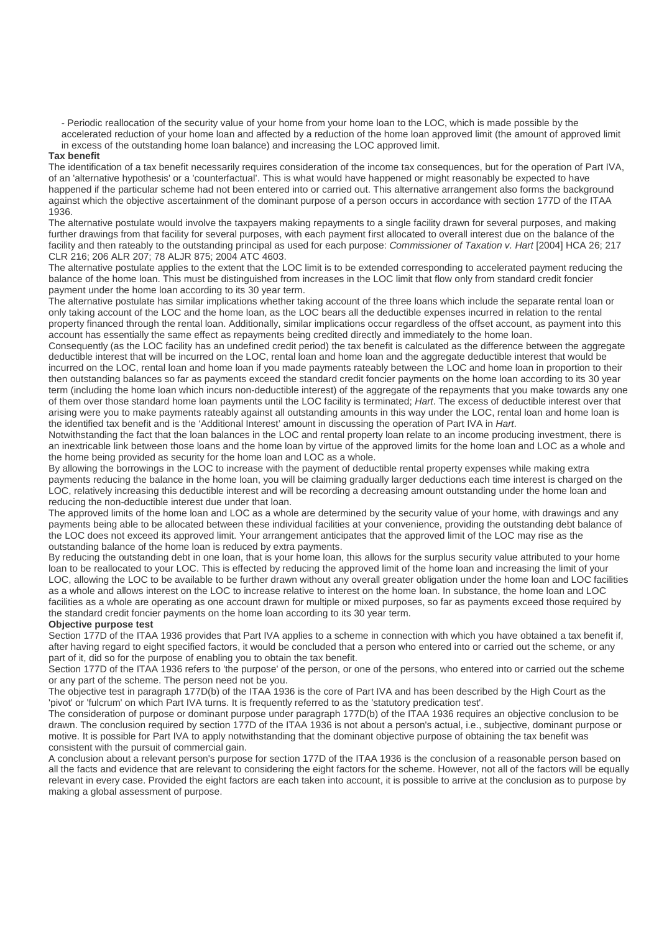- Periodic reallocation of the security value of your home from your home loan to the LOC, which is made possible by the accelerated reduction of your home loan and affected by a reduction of the home loan approved limit (the amount of approved limit in excess of the outstanding home loan balance) and increasing the LOC approved limit.

#### **Tax benefit**

The identification of a tax benefit necessarily requires consideration of the income tax consequences, but for the operation of Part IVA, of an 'alternative hypothesis' or a 'counterfactual'. This is what would have happened or might reasonably be expected to have happened if the particular scheme had not been entered into or carried out. This alternative arrangement also forms the background against which the objective ascertainment of the dominant purpose of a person occurs in accordance with section 177D of the ITAA 1936.

The alternative postulate would involve the taxpayers making repayments to a single facility drawn for several purposes, and making further drawings from that facility for several purposes, with each payment first allocated to overall interest due on the balance of the facility and then rateably to the outstanding principal as used for each purpose: Commissioner of Taxation v. Hart [2004] HCA 26; 217 CLR 216; 206 ALR 207; 78 ALJR 875; 2004 ATC 4603.

The alternative postulate applies to the extent that the LOC limit is to be extended corresponding to accelerated payment reducing the balance of the home loan. This must be distinguished from increases in the LOC limit that flow only from standard credit foncier payment under the home loan according to its 30 year term.

The alternative postulate has similar implications whether taking account of the three loans which include the separate rental loan or only taking account of the LOC and the home loan, as the LOC bears all the deductible expenses incurred in relation to the rental property financed through the rental loan. Additionally, similar implications occur regardless of the offset account, as payment into this account has essentially the same effect as repayments being credited directly and immediately to the home loan.

Consequently (as the LOC facility has an undefined credit period) the tax benefit is calculated as the difference between the aggregate deductible interest that will be incurred on the LOC, rental loan and home loan and the aggregate deductible interest that would be incurred on the LOC, rental loan and home loan if you made payments rateably between the LOC and home loan in proportion to their then outstanding balances so far as payments exceed the standard credit foncier payments on the home loan according to its 30 year term (including the home loan which incurs non-deductible interest) of the aggregate of the repayments that you make towards any one of them over those standard home loan payments until the LOC facility is terminated; Hart. The excess of deductible interest over that arising were you to make payments rateably against all outstanding amounts in this way under the LOC, rental loan and home loan is the identified tax benefit and is the 'Additional Interest' amount in discussing the operation of Part IVA in Hart.

Notwithstanding the fact that the loan balances in the LOC and rental property loan relate to an income producing investment, there is an inextricable link between those loans and the home loan by virtue of the approved limits for the home loan and LOC as a whole and the home being provided as security for the home loan and LOC as a whole.

By allowing the borrowings in the LOC to increase with the payment of deductible rental property expenses while making extra payments reducing the balance in the home loan, you will be claiming gradually larger deductions each time interest is charged on the LOC, relatively increasing this deductible interest and will be recording a decreasing amount outstanding under the home loan and reducing the non-deductible interest due under that loan.

The approved limits of the home loan and LOC as a whole are determined by the security value of your home, with drawings and any payments being able to be allocated between these individual facilities at your convenience, providing the outstanding debt balance of the LOC does not exceed its approved limit. Your arrangement anticipates that the approved limit of the LOC may rise as the outstanding balance of the home loan is reduced by extra payments.

By reducing the outstanding debt in one loan, that is your home loan, this allows for the surplus security value attributed to your home loan to be reallocated to your LOC. This is effected by reducing the approved limit of the home loan and increasing the limit of your LOC, allowing the LOC to be available to be further drawn without any overall greater obligation under the home loan and LOC facilities as a whole and allows interest on the LOC to increase relative to interest on the home loan. In substance, the home loan and LOC facilities as a whole are operating as one account drawn for multiple or mixed purposes, so far as payments exceed those required by the standard credit foncier payments on the home loan according to its 30 year term.

### **Objective purpose test**

Section 177D of the ITAA 1936 provides that Part IVA applies to a scheme in connection with which you have obtained a tax benefit if, after having regard to eight specified factors, it would be concluded that a person who entered into or carried out the scheme, or any part of it, did so for the purpose of enabling you to obtain the tax benefit.

Section 177D of the ITAA 1936 refers to 'the purpose' of the person, or one of the persons, who entered into or carried out the scheme or any part of the scheme. The person need not be you.

The objective test in paragraph 177D(b) of the ITAA 1936 is the core of Part IVA and has been described by the High Court as the 'pivot' or 'fulcrum' on which Part IVA turns. It is frequently referred to as the 'statutory predication test'.

The consideration of purpose or dominant purpose under paragraph 177D(b) of the ITAA 1936 requires an objective conclusion to be drawn. The conclusion required by section 177D of the ITAA 1936 is not about a person's actual, i.e., subjective, dominant purpose or motive. It is possible for Part IVA to apply notwithstanding that the dominant objective purpose of obtaining the tax benefit was consistent with the pursuit of commercial gain.

A conclusion about a relevant person's purpose for section 177D of the ITAA 1936 is the conclusion of a reasonable person based on all the facts and evidence that are relevant to considering the eight factors for the scheme. However, not all of the factors will be equally relevant in every case. Provided the eight factors are each taken into account, it is possible to arrive at the conclusion as to purpose by making a global assessment of purpose.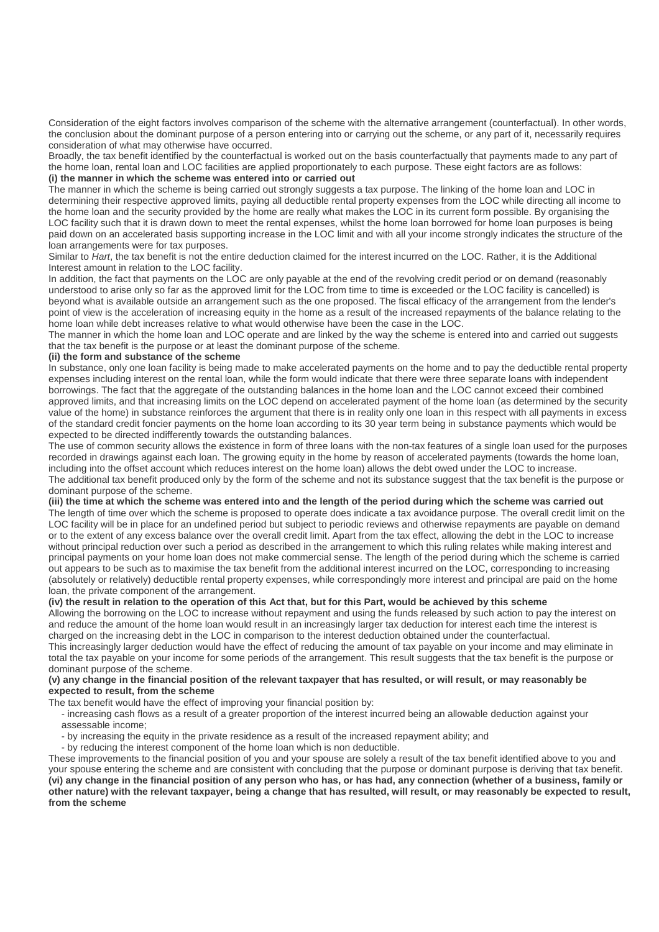Consideration of the eight factors involves comparison of the scheme with the alternative arrangement (counterfactual). In other words, the conclusion about the dominant purpose of a person entering into or carrying out the scheme, or any part of it, necessarily requires consideration of what may otherwise have occurred.

Broadly, the tax benefit identified by the counterfactual is worked out on the basis counterfactually that payments made to any part of the home loan, rental loan and LOC facilities are applied proportionately to each purpose. These eight factors are as follows: **(i) the manner in which the scheme was entered into or carried out**

The manner in which the scheme is being carried out strongly suggests a tax purpose. The linking of the home loan and LOC in determining their respective approved limits, paying all deductible rental property expenses from the LOC while directing all income to the home loan and the security provided by the home are really what makes the LOC in its current form possible. By organising the LOC facility such that it is drawn down to meet the rental expenses, whilst the home loan borrowed for home loan purposes is being paid down on an accelerated basis supporting increase in the LOC limit and with all your income strongly indicates the structure of the loan arrangements were for tax purposes.

Similar to Hart, the tax benefit is not the entire deduction claimed for the interest incurred on the LOC. Rather, it is the Additional Interest amount in relation to the LOC facility.

In addition, the fact that payments on the LOC are only payable at the end of the revolving credit period or on demand (reasonably understood to arise only so far as the approved limit for the LOC from time to time is exceeded or the LOC facility is cancelled) is beyond what is available outside an arrangement such as the one proposed. The fiscal efficacy of the arrangement from the lender's point of view is the acceleration of increasing equity in the home as a result of the increased repayments of the balance relating to the home loan while debt increases relative to what would otherwise have been the case in the LOC.

The manner in which the home loan and LOC operate and are linked by the way the scheme is entered into and carried out suggests that the tax benefit is the purpose or at least the dominant purpose of the scheme.

### **(ii) the form and substance of the scheme**

In substance, only one loan facility is being made to make accelerated payments on the home and to pay the deductible rental property expenses including interest on the rental loan, while the form would indicate that there were three separate loans with independent borrowings. The fact that the aggregate of the outstanding balances in the home loan and the LOC cannot exceed their combined approved limits, and that increasing limits on the LOC depend on accelerated payment of the home loan (as determined by the security value of the home) in substance reinforces the argument that there is in reality only one loan in this respect with all payments in excess of the standard credit foncier payments on the home loan according to its 30 year term being in substance payments which would be expected to be directed indifferently towards the outstanding balances.

The use of common security allows the existence in form of three loans with the non-tax features of a single loan used for the purposes recorded in drawings against each loan. The growing equity in the home by reason of accelerated payments (towards the home loan, including into the offset account which reduces interest on the home loan) allows the debt owed under the LOC to increase. The additional tax benefit produced only by the form of the scheme and not its substance suggest that the tax benefit is the purpose or dominant purpose of the scheme.

**(iii) the time at which the scheme was entered into and the length of the period during which the scheme was carried out** The length of time over which the scheme is proposed to operate does indicate a tax avoidance purpose. The overall credit limit on the LOC facility will be in place for an undefined period but subject to periodic reviews and otherwise repayments are payable on demand or to the extent of any excess balance over the overall credit limit. Apart from the tax effect, allowing the debt in the LOC to increase without principal reduction over such a period as described in the arrangement to which this ruling relates while making interest and principal payments on your home loan does not make commercial sense. The length of the period during which the scheme is carried out appears to be such as to maximise the tax benefit from the additional interest incurred on the LOC, corresponding to increasing (absolutely or relatively) deductible rental property expenses, while correspondingly more interest and principal are paid on the home loan, the private component of the arrangement.

### **(iv) the result in relation to the operation of this Act that, but for this Part, would be achieved by this scheme**

Allowing the borrowing on the LOC to increase without repayment and using the funds released by such action to pay the interest on and reduce the amount of the home loan would result in an increasingly larger tax deduction for interest each time the interest is charged on the increasing debt in the LOC in comparison to the interest deduction obtained under the counterfactual.

This increasingly larger deduction would have the effect of reducing the amount of tax payable on your income and may eliminate in total the tax payable on your income for some periods of the arrangement. This result suggests that the tax benefit is the purpose or dominant purpose of the scheme.

### **(v) any change in the financial position of the relevant taxpayer that has resulted, or will result, or may reasonably be expected to result, from the scheme**

The tax benefit would have the effect of improving your financial position by:

- increasing cash flows as a result of a greater proportion of the interest incurred being an allowable deduction against your assessable income;

- by increasing the equity in the private residence as a result of the increased repayment ability; and
- by reducing the interest component of the home loan which is non deductible.

These improvements to the financial position of you and your spouse are solely a result of the tax benefit identified above to you and your spouse entering the scheme and are consistent with concluding that the purpose or dominant purpose is deriving that tax benefit. **(vi) any change in the financial position of any person who has, or has had, any connection (whether of a business, family or other nature) with the relevant taxpayer, being a change that has resulted, will result, or may reasonably be expected to result, from the scheme**